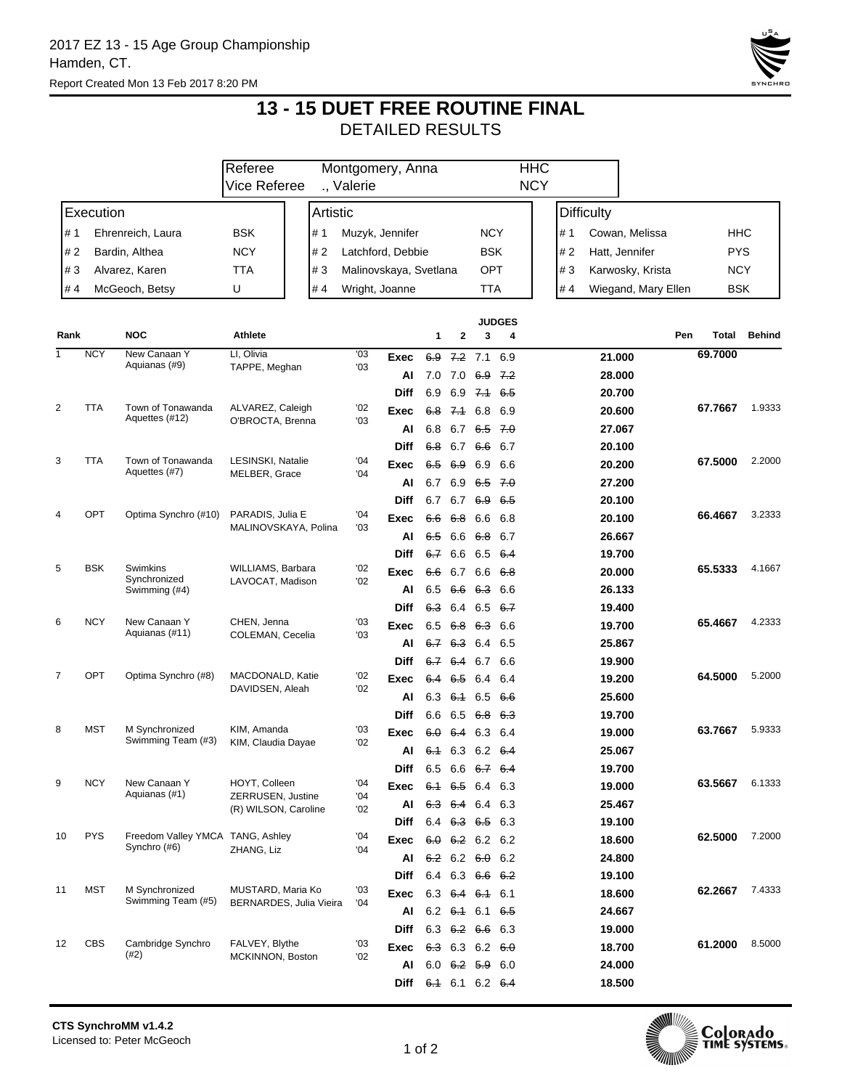

## **13 - 15 DUET FREE ROUTINE FINAL** DETAILED RESULTS

|                          |                       |                                                  |                                           | Referee<br>Montgomery, Anna<br>HHC<br><b>NCY</b><br>Vice Referee<br>., Valerie |                        |             |            |                         |                |                       |    |                   |                     |                     |               |
|--------------------------|-----------------------|--------------------------------------------------|-------------------------------------------|--------------------------------------------------------------------------------|------------------------|-------------|------------|-------------------------|----------------|-----------------------|----|-------------------|---------------------|---------------------|---------------|
| Execution                |                       |                                                  |                                           | Artistic                                                                       |                        |             |            |                         |                |                       |    | <b>Difficulty</b> |                     |                     |               |
| # 1<br>Ehrenreich, Laura |                       |                                                  | <b>BSK</b>                                | # 1<br>Muzyk, Jennifer                                                         |                        |             |            | <b>NCY</b>              |                | # 1<br>Cowan, Melissa |    |                   | HHC                 |                     |               |
| # 2<br>Bardin, Althea    |                       | <b>NCY</b>                                       |                                           | #2<br>Latchford, Debbie<br><b>BSK</b>                                          |                        |             |            |                         |                | # 2                   |    | Hatt, Jennifer    |                     | <b>PYS</b>          |               |
|                          | #3<br>Alvarez, Karen  |                                                  | TTA                                       | #3                                                                             | Malinovskaya, Svetlana |             |            |                         | OPT            |                       | #3 |                   | Karwosky, Krista    | <b>NCY</b>          |               |
|                          | McGeoch, Betsy<br># 4 |                                                  | U                                         |                                                                                | #4<br>Wright, Joanne   |             |            | TTA                     |                |                       | #4 |                   | Wiegand, Mary Ellen |                     | <b>BSK</b>    |
|                          |                       |                                                  |                                           |                                                                                |                        |             |            |                         |                |                       |    |                   |                     |                     |               |
|                          |                       |                                                  |                                           |                                                                                |                        |             |            |                         |                | <b>JUDGES</b>         |    |                   |                     |                     |               |
| Rank                     |                       | <b>NOC</b>                                       | <b>Athlete</b>                            |                                                                                |                        |             | 1          | $\mathbf{2}$            | 3              | $\overline{4}$        |    |                   |                     | Pen<br><b>Total</b> | <b>Behind</b> |
| 1                        | <b>NCY</b>            | New Canaan Y<br>Aquianas (#9)                    | LI, Olivia<br>TAPPE, Meghan               |                                                                                | '03<br>'03             | <b>Exec</b> | 6.9        | <del>7.2</del>          | 7.1            | 6.9                   |    |                   | 21.000              | 69.7000             |               |
|                          |                       |                                                  |                                           |                                                                                | AI                     | 7.0         | 7.0        |                         | $6.9$ $7.2$    |                       |    | 28.000            |                     |                     |               |
|                          |                       |                                                  |                                           |                                                                                |                        | Diff        | 6.9        | 6.9                     | $7.1\quad 6.5$ |                       |    |                   | 20.700              |                     |               |
| 2                        | <b>TTA</b>            | Town of Tonawanda<br>Aquettes (#12)              | ALVAREZ, Caleigh<br>O'BROCTA, Brenna      |                                                                                | '02<br>'03             | Exec        | 6.8        | 7.1                     | 6.8            | 6.9                   |    |                   | 20.600              | 67.7667             | 1.9333        |
|                          |                       |                                                  |                                           |                                                                                |                        | Al          | 6.8        | 6.7                     | 6.5 7.0        |                       |    |                   | 27.067              |                     |               |
|                          | <b>TTA</b>            | Town of Tonawanda<br>Aquettes (#7)               | LESINSKI, Natalie<br>MELBER, Grace        |                                                                                | '04<br>'04             | Diff        |            | 6.8 6.7                 | 6.6 6.7        |                       |    |                   | 20.100              |                     |               |
| 3                        |                       |                                                  |                                           |                                                                                |                        | <b>Exec</b> | 6.5        | 6.9                     | 6.9            | 6.6                   |    |                   | 20.200              | 67.5000             | 2.2000        |
|                          |                       |                                                  |                                           |                                                                                |                        | AI          | 6.7        | 6.9                     | 6.5            | 7.0                   |    |                   | 27.200              |                     |               |
| 4                        |                       | Optima Synchro (#10)                             |                                           |                                                                                | '04                    | <b>Diff</b> | 6.7        | 6.7                     | 6.9 6.5        |                       |    |                   | 20.100              |                     | 3.2333        |
|                          | OPT                   |                                                  | PARADIS, Julia E<br>MALINOVSKAYA, Polina  |                                                                                | '03                    | Exec        | 6.6        | 6.8                     | 6.6            | 6.8                   |    |                   | 20.100              | 66.4667             |               |
|                          |                       |                                                  |                                           |                                                                                |                        | Al          | 6.5        | 6.6                     | 6.8 6.7        |                       |    |                   | 26.667              |                     |               |
| 5                        | <b>BSK</b>            | Swimkins<br>Synchronized<br>Swimming (#4)        | WILLIAMS, Barbara<br>LAVOCAT, Madison     |                                                                                | '02                    | Diff        |            | 6.7 6.6 6.5 6.4         |                |                       |    |                   | 19.700              | 65.5333             | 4.1667        |
| 6                        |                       |                                                  |                                           |                                                                                | '02                    | <b>Exec</b> | 6.6        | 6.7                     | 6.6            | 6.8                   |    |                   | 20.000              |                     |               |
|                          |                       |                                                  |                                           |                                                                                |                        | AI          | 6.5        | 6.6                     | 6.3            | 6.6                   |    |                   | 26.133              |                     |               |
|                          | <b>NCY</b>            | New Canaan Y                                     | CHEN, Jenna                               |                                                                                | '03                    | Diff        | 6.3        | 6.4 6.5 $6.7$           |                |                       |    |                   | 19.400              |                     | 4.2333        |
|                          |                       | Aquianas (#11)                                   | COLEMAN, Cecelia                          |                                                                                | '03                    | Exec        | 6.5        | 6.8                     | 6.3 6.6        |                       |    |                   | 19.700              | 65.4667             |               |
|                          |                       |                                                  |                                           |                                                                                |                        | AI          | 6.7        | 6.3                     | 6.4 6.5        |                       |    |                   | 25.867              |                     |               |
| $\overline{7}$           | OPT                   | Optima Synchro (#8)                              | MACDONALD, Katie<br>DAVIDSEN, Aleah       |                                                                                | '02<br>'02             | Diff        |            | 6.7 6.4 6.7 6.6         |                |                       |    |                   | 19.900              | 64.5000             | 5.2000        |
| 8                        |                       |                                                  |                                           |                                                                                |                        | Exec        | 6.4        | 6.5                     | 6.4            | 6.4                   |    |                   | 19.200              |                     |               |
|                          |                       |                                                  |                                           |                                                                                |                        | AI          | 6.3        | <del>6.1</del>          | 6.5<br>6.8 6.3 | 6.6                   |    |                   | 25.600              |                     |               |
|                          | <b>MST</b>            | M Synchronized                                   | KIM, Amanda                               |                                                                                | '03                    | Diff        | 6.6        | 6.5                     | 6.3            |                       |    |                   | 19.700              | 63.7667             | 5.9333        |
|                          |                       | Swimming Team (#3)                               | KIM, Claudia Dayae                        |                                                                                | '02                    | Exec<br>Al  | 6.0<br>6.4 | 6.4<br>6.3              | 6.2 $6.4$      | 6.4                   |    |                   | 19.000<br>25.067    |                     |               |
|                          |                       |                                                  |                                           |                                                                                |                        | Diff        |            | 6.5 6.6 6.7 6.4         |                |                       |    |                   | 19.700              |                     |               |
| 9                        | <b>NCY</b>            | New Canaan Y<br>Aquianas (#1)                    | HOYT, Colleen                             |                                                                                | '04                    | Exec        |            | 6.1 6.5 6.4 6.3         |                |                       |    |                   | 19.000              | 63.5667             | 6.1333        |
|                          |                       |                                                  | ZERRUSEN, Justine<br>(R) WILSON, Caroline |                                                                                | '04                    | AI          |            | 6.3 6.4                 | 6.4 6.3        |                       |    |                   | 25.467              |                     |               |
|                          |                       |                                                  |                                           |                                                                                | '02                    | Diff        |            | 6.4 $6.3$ $6.5$ 6.3     |                |                       |    |                   | 19.100              |                     |               |
| 10                       | <b>PYS</b>            | Freedom Valley YMCA TANG, Ashley<br>Synchro (#6) | ZHANG, Liz                                |                                                                                | '04                    | Exec        |            | $6.0$ $6.2$ 6.2 6.2     |                |                       |    |                   | 18.600              | 62.5000             | 7.2000        |
|                          |                       |                                                  |                                           |                                                                                | '04                    | AI          |            | $6.2$ 6.2 $6.0$ 6.2     |                |                       |    |                   | 24.800              |                     |               |
|                          |                       |                                                  |                                           |                                                                                |                        | Diff        |            | 6.4 6.3 6.6 6.2         |                |                       |    |                   | 19.100              |                     |               |
| 11                       | <b>MST</b>            | M Synchronized<br>Swimming Team (#5)             | MUSTARD, Maria Ko                         |                                                                                | '03                    | Exec        |            | 6.3 6.4 6.4 6.1         |                |                       |    |                   | 18.600              | 62.2667             | 7.4333        |
|                          |                       |                                                  | BERNARDES, Julia Vieira                   |                                                                                | '04                    | AI          |            | 6.2 $6.4$ 6.1 $6.5$     |                |                       |    |                   | 24.667              |                     |               |
|                          |                       |                                                  |                                           |                                                                                |                        | Diff        |            | 6.3 $6.2$ $6.6$ 6.3     |                |                       |    |                   | 19.000              |                     |               |
| 12                       | <b>CBS</b>            | Cambridge Synchro<br>(#2)                        | FALVEY, Blythe<br>MCKINNON, Boston        |                                                                                | '03                    | Exec        |            | $6.3$ 6.3 6.2 6.0       |                |                       |    |                   | 18.700              | 61.2000             | 8.5000        |
|                          |                       |                                                  |                                           |                                                                                | '02                    | ΑI          |            | $6.0$ $6.2$ $5.9$ $6.0$ |                |                       |    |                   | 24.000              |                     |               |
|                          |                       |                                                  |                                           |                                                                                |                        | Diff        |            | 6.1 6.1 6.2 6.4         |                |                       |    |                   | 18.500              |                     |               |
|                          |                       |                                                  |                                           |                                                                                |                        |             |            |                         |                |                       |    |                   |                     |                     |               |